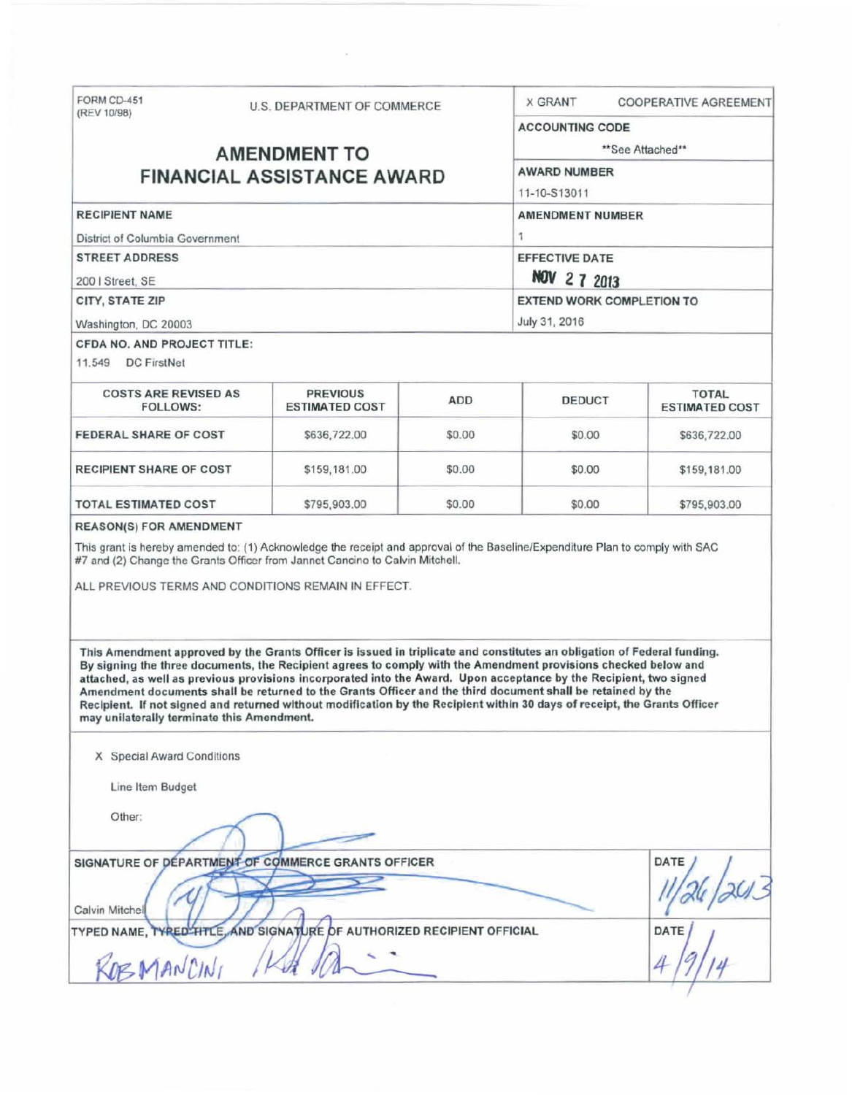| FORM CD-451<br>(REV 10/98)                                                                                                                                                                                                                                                                                                                                                                                                                                                                                                                                                                                                                                | U.S. DEPARTMENT OF COMMERCE                    |        | <b>X GRANT</b>                                    | <b>COOPERATIVE AGREEMENT</b>          |  |
|-----------------------------------------------------------------------------------------------------------------------------------------------------------------------------------------------------------------------------------------------------------------------------------------------------------------------------------------------------------------------------------------------------------------------------------------------------------------------------------------------------------------------------------------------------------------------------------------------------------------------------------------------------------|------------------------------------------------|--------|---------------------------------------------------|---------------------------------------|--|
|                                                                                                                                                                                                                                                                                                                                                                                                                                                                                                                                                                                                                                                           |                                                |        | <b>ACCOUNTING CODE</b>                            |                                       |  |
| <b>AMENDMENT TO</b>                                                                                                                                                                                                                                                                                                                                                                                                                                                                                                                                                                                                                                       |                                                |        | **See Attached**                                  |                                       |  |
| <b>FINANCIAL ASSISTANCE AWARD</b>                                                                                                                                                                                                                                                                                                                                                                                                                                                                                                                                                                                                                         |                                                |        | <b>AWARD NUMBER</b><br>11-10-S13011               |                                       |  |
|                                                                                                                                                                                                                                                                                                                                                                                                                                                                                                                                                                                                                                                           |                                                |        |                                                   |                                       |  |
| <b>STREET ADDRESS</b>                                                                                                                                                                                                                                                                                                                                                                                                                                                                                                                                                                                                                                     |                                                |        | <b>EFFECTIVE DATE</b>                             |                                       |  |
| 200   Street, SE                                                                                                                                                                                                                                                                                                                                                                                                                                                                                                                                                                                                                                          |                                                |        | NOV 2 7 2013                                      |                                       |  |
| <b>CITY, STATE ZIP</b>                                                                                                                                                                                                                                                                                                                                                                                                                                                                                                                                                                                                                                    |                                                |        | <b>EXTEND WORK COMPLETION TO</b><br>July 31, 2016 |                                       |  |
| Washington, DC 20003                                                                                                                                                                                                                                                                                                                                                                                                                                                                                                                                                                                                                                      |                                                |        |                                                   |                                       |  |
| CFDA NO. AND PROJECT TITLE:<br>11,549 DC FirstNet                                                                                                                                                                                                                                                                                                                                                                                                                                                                                                                                                                                                         |                                                |        |                                                   |                                       |  |
| <b>COSTS ARE REVISED AS</b><br><b>FOLLOWS:</b>                                                                                                                                                                                                                                                                                                                                                                                                                                                                                                                                                                                                            | <b>PREVIOUS</b><br><b>ESTIMATED COST</b>       | ADD    | <b>DEDUCT</b>                                     | <b>TOTAL</b><br><b>ESTIMATED COST</b> |  |
| <b>FEDERAL SHARE OF COST</b>                                                                                                                                                                                                                                                                                                                                                                                                                                                                                                                                                                                                                              | \$636,722.00                                   | \$0.00 | \$0.00                                            | \$636,722.00                          |  |
| <b>RECIPIENT SHARE OF COST</b>                                                                                                                                                                                                                                                                                                                                                                                                                                                                                                                                                                                                                            | \$159,181.00                                   | \$0.00 | \$0.00                                            | \$159,181.00                          |  |
| <b>TOTAL ESTIMATED COST</b>                                                                                                                                                                                                                                                                                                                                                                                                                                                                                                                                                                                                                               | \$795,903.00                                   | \$0.00 | \$0.00                                            | \$795,903.00                          |  |
| #7 and (2) Change the Grants Officer from Jannet Cancino to Calvin Mitchell.<br>ALL PREVIOUS TERMS AND CONDITIONS REMAIN IN EFFECT.                                                                                                                                                                                                                                                                                                                                                                                                                                                                                                                       |                                                |        |                                                   |                                       |  |
| This Amendment approved by the Grants Officer is issued in triplicate and constitutes an obligation of Federal funding.<br>By signing the three documents, the Recipient agrees to comply with the Amendment provisions checked below and<br>attached, as well as previous provisions incorporated into the Award. Upon acceptance by the Recipient, two signed<br>Amendment documents shall be returned to the Grants Officer and the third document shall be retained by the<br>Recipient. If not signed and returned without modification by the Recipient within 30 days of receipt, the Grants Officer<br>may unilaterally terminate this Amendment. |                                                |        |                                                   |                                       |  |
| X Special Award Conditions                                                                                                                                                                                                                                                                                                                                                                                                                                                                                                                                                                                                                                |                                                |        |                                                   |                                       |  |
| Line Item Budget                                                                                                                                                                                                                                                                                                                                                                                                                                                                                                                                                                                                                                          |                                                |        |                                                   |                                       |  |
| Other:                                                                                                                                                                                                                                                                                                                                                                                                                                                                                                                                                                                                                                                    |                                                |        |                                                   |                                       |  |
| SIGNATURE OF DEPARTMENT OF COMMERCE GRANTS OFFICER<br>Calvin Mitchell                                                                                                                                                                                                                                                                                                                                                                                                                                                                                                                                                                                     |                                                |        |                                                   | DATE                                  |  |
| <b>TYPED NAME, TYPED TITLE</b><br>DEMANCINI                                                                                                                                                                                                                                                                                                                                                                                                                                                                                                                                                                                                               | AND SIGNATURE OF AUTHORIZED RECIPIENT OFFICIAL |        |                                                   | DATE                                  |  |